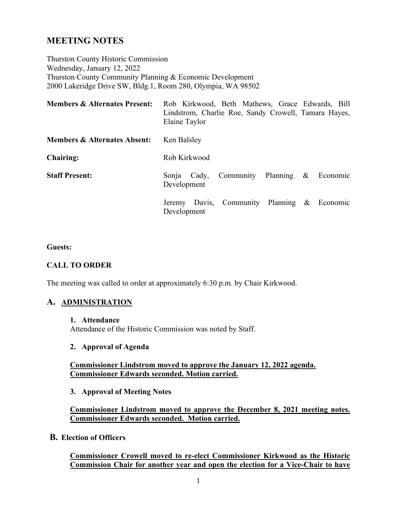# **MEETING NOTES**

Thurston County Historic Commission Wednesday, January 12, 2022 Thurston County Community Planning & Economic Development 2000 Lakeridge Drive SW, Bldg.1, Room 280, Olympia, WA 98502

| <b>Members &amp; Alternates Present:</b> | Rob Kirkwood, Beth Mathews, Grace Edwards, Bill<br>Lindstrom, Charlie Roe, Sandy Crowell, Tamara Hayes,<br>Elaine Taylor |
|------------------------------------------|--------------------------------------------------------------------------------------------------------------------------|
| <b>Members &amp; Alternates Absent:</b>  | Ken Balsley                                                                                                              |
| <b>Chairing:</b>                         | Rob Kirkwood                                                                                                             |
| <b>Staff Present:</b>                    | Community Planning<br>$\&$<br>Economic<br>Cady,<br>Sonja<br>Development                                                  |
|                                          | Jeremy Davis, Community Planning & Economic<br>Development                                                               |

#### **Guests:**

#### **CALL TO ORDER**

The meeting was called to order at approximately 6:30 p.m. by Chair Kirkwood.

#### **A. ADMINISTRATION**

**1. Attendance**

Attendance of the Historic Commission was noted by Staff.

#### **2. Approval of Agenda**

#### **Commissioner Lindstrom moved to approve the January 12, 2022 agenda. Commissioner Edwards seconded. Motion carried.**

#### **3. Approval of Meeting Notes**

**Commissioner Lindstrom moved to approve the December 8, 2021 meeting notes. Commissioner Edwards seconded. Motion carried.**

**B. Election of Officers**

**Commissioner Crowell moved to re-elect Commissioner Kirkwood as the Historic Commission Chair for another year and open the election for a Vice-Chair to have**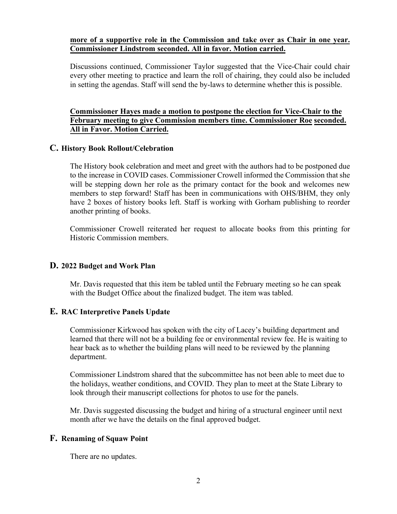#### **more of a supportive role in the Commission and take over as Chair in one year. Commissioner Lindstrom seconded. All in favor. Motion carried.**

Discussions continued, Commissioner Taylor suggested that the Vice-Chair could chair every other meeting to practice and learn the roll of chairing, they could also be included in setting the agendas. Staff will send the by-laws to determine whether this is possible.

## **Commissioner Hayes made a motion to postpone the election for Vice-Chair to the February meeting to give Commission members time. Commissioner Roe seconded. All in Favor. Motion Carried.**

## **C. History Book Rollout/Celebration**

The History book celebration and meet and greet with the authors had to be postponed due to the increase in COVID cases. Commissioner Crowell informed the Commission that she will be stepping down her role as the primary contact for the book and welcomes new members to step forward! Staff has been in communications with OHS/BHM, they only have 2 boxes of history books left. Staff is working with Gorham publishing to reorder another printing of books.

Commissioner Crowell reiterated her request to allocate books from this printing for Historic Commission members.

#### **D. 2022 Budget and Work Plan**

Mr. Davis requested that this item be tabled until the February meeting so he can speak with the Budget Office about the finalized budget. The item was tabled.

# **E. RAC Interpretive Panels Update**

Commissioner Kirkwood has spoken with the city of Lacey's building department and learned that there will not be a building fee or environmental review fee. He is waiting to hear back as to whether the building plans will need to be reviewed by the planning department.

Commissioner Lindstrom shared that the subcommittee has not been able to meet due to the holidays, weather conditions, and COVID. They plan to meet at the State Library to look through their manuscript collections for photos to use for the panels.

Mr. Davis suggested discussing the budget and hiring of a structural engineer until next month after we have the details on the final approved budget.

#### **F. Renaming of Squaw Point**

There are no updates.